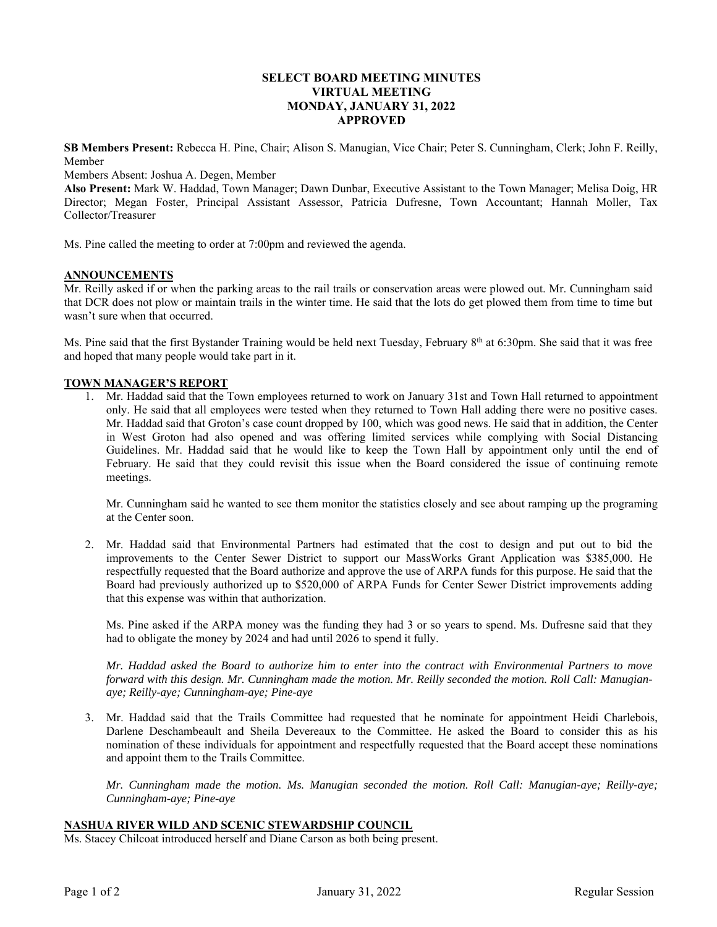# **SELECT BOARD MEETING MINUTES VIRTUAL MEETING MONDAY, JANUARY 31, 2022 APPROVED**

**SB Members Present:** Rebecca H. Pine, Chair; Alison S. Manugian, Vice Chair; Peter S. Cunningham, Clerk; John F. Reilly, Member

Members Absent: Joshua A. Degen, Member

**Also Present:** Mark W. Haddad, Town Manager; Dawn Dunbar, Executive Assistant to the Town Manager; Melisa Doig, HR Director; Megan Foster, Principal Assistant Assessor, Patricia Dufresne, Town Accountant; Hannah Moller, Tax Collector/Treasurer

Ms. Pine called the meeting to order at 7:00pm and reviewed the agenda.

### **ANNOUNCEMENTS**

Mr. Reilly asked if or when the parking areas to the rail trails or conservation areas were plowed out. Mr. Cunningham said that DCR does not plow or maintain trails in the winter time. He said that the lots do get plowed them from time to time but wasn't sure when that occurred.

Ms. Pine said that the first Bystander Training would be held next Tuesday, February  $8<sup>th</sup>$  at 6:30pm. She said that it was free and hoped that many people would take part in it.

### **TOWN MANAGER'S REPORT**

1. Mr. Haddad said that the Town employees returned to work on January 31st and Town Hall returned to appointment only. He said that all employees were tested when they returned to Town Hall adding there were no positive cases. Mr. Haddad said that Groton's case count dropped by 100, which was good news. He said that in addition, the Center in West Groton had also opened and was offering limited services while complying with Social Distancing Guidelines. Mr. Haddad said that he would like to keep the Town Hall by appointment only until the end of February. He said that they could revisit this issue when the Board considered the issue of continuing remote meetings.

Mr. Cunningham said he wanted to see them monitor the statistics closely and see about ramping up the programing at the Center soon.

2. Mr. Haddad said that Environmental Partners had estimated that the cost to design and put out to bid the improvements to the Center Sewer District to support our MassWorks Grant Application was \$385,000. He respectfully requested that the Board authorize and approve the use of ARPA funds for this purpose. He said that the Board had previously authorized up to \$520,000 of ARPA Funds for Center Sewer District improvements adding that this expense was within that authorization.

Ms. Pine asked if the ARPA money was the funding they had 3 or so years to spend. Ms. Dufresne said that they had to obligate the money by 2024 and had until 2026 to spend it fully.

*Mr. Haddad asked the Board to authorize him to enter into the contract with Environmental Partners to move forward with this design. Mr. Cunningham made the motion. Mr. Reilly seconded the motion. Roll Call: Manugianaye; Reilly-aye; Cunningham-aye; Pine-aye* 

3. Mr. Haddad said that the Trails Committee had requested that he nominate for appointment Heidi Charlebois, Darlene Deschambeault and Sheila Devereaux to the Committee. He asked the Board to consider this as his nomination of these individuals for appointment and respectfully requested that the Board accept these nominations and appoint them to the Trails Committee.

*Mr. Cunningham made the motion. Ms. Manugian seconded the motion. Roll Call: Manugian-aye; Reilly-aye; Cunningham-aye; Pine-aye* 

## **NASHUA RIVER WILD AND SCENIC STEWARDSHIP COUNCIL**

Ms. Stacey Chilcoat introduced herself and Diane Carson as both being present.